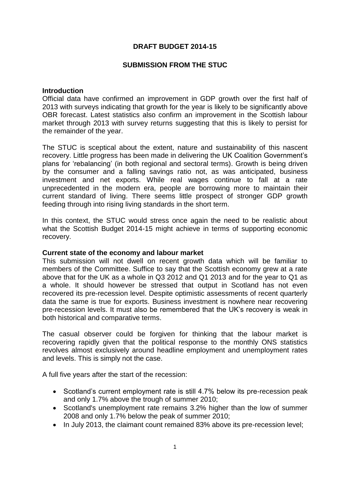## **DRAFT BUDGET 2014-15**

### **SUBMISSION FROM THE STUC**

### **Introduction**

Official data have confirmed an improvement in GDP growth over the first half of 2013 with surveys indicating that growth for the year is likely to be significantly above OBR forecast. Latest statistics also confirm an improvement in the Scottish labour market through 2013 with survey returns suggesting that this is likely to persist for the remainder of the year.

The STUC is sceptical about the extent, nature and sustainability of this nascent recovery. Little progress has been made in delivering the UK Coalition Government's plans for 'rebalancing' (in both regional and sectoral terms). Growth is being driven by the consumer and a falling savings ratio not, as was anticipated, business investment and net exports. While real wages continue to fall at a rate unprecedented in the modern era, people are borrowing more to maintain their current standard of living. There seems little prospect of stronger GDP growth feeding through into rising living standards in the short term.

In this context, the STUC would stress once again the need to be realistic about what the Scottish Budget 2014-15 might achieve in terms of supporting economic recovery.

#### **Current state of the economy and labour market**

This submission will not dwell on recent growth data which will be familiar to members of the Committee. Suffice to say that the Scottish economy grew at a rate above that for the UK as a whole in Q3 2012 and Q1 2013 and for the year to Q1 as a whole. It should however be stressed that output in Scotland has not even recovered its pre-recession level. Despite optimistic assessments of recent quarterly data the same is true for exports. Business investment is nowhere near recovering pre-recession levels. It must also be remembered that the UK's recovery is weak in both historical and comparative terms.

The casual observer could be forgiven for thinking that the labour market is recovering rapidly given that the political response to the monthly ONS statistics revolves almost exclusively around headline employment and unemployment rates and levels. This is simply not the case.

A full five years after the start of the recession:

- Scotland's current employment rate is still 4.7% below its pre-recession peak and only 1.7% above the trough of summer 2010;
- Scotland's unemployment rate remains 3.2% higher than the low of summer 2008 and only 1.7% below the peak of summer 2010;
- In July 2013, the claimant count remained 83% above its pre-recession level;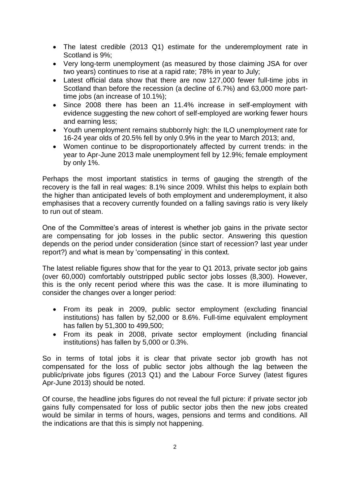- The latest credible (2013 Q1) estimate for the underemployment rate in Scotland is 9%;
- Very long-term unemployment (as measured by those claiming JSA for over two years) continues to rise at a rapid rate; 78% in year to July;
- Latest official data show that there are now 127,000 fewer full-time jobs in Scotland than before the recession (a decline of 6.7%) and 63,000 more parttime jobs (an increase of 10.1%);
- Since 2008 there has been an 11.4% increase in self-employment with evidence suggesting the new cohort of self-employed are working fewer hours and earning less;
- Youth unemployment remains stubbornly high: the ILO unemployment rate for 16-24 year olds of 20.5% fell by only 0.9% in the year to March 2013; and,
- Women continue to be disproportionately affected by current trends: in the year to Apr-June 2013 male unemployment fell by 12.9%; female employment by only 1%.

Perhaps the most important statistics in terms of gauging the strength of the recovery is the fall in real wages: 8.1% since 2009. Whilst this helps to explain both the higher than anticipated levels of both employment and underemployment, it also emphasises that a recovery currently founded on a falling savings ratio is very likely to run out of steam.

One of the Committee's areas of interest is whether job gains in the private sector are compensating for job losses in the public sector. Answering this question depends on the period under consideration (since start of recession? last year under report?) and what is mean by 'compensating' in this context.

The latest reliable figures show that for the year to Q1 2013, private sector job gains (over 60,000) comfortably outstripped public sector jobs losses (8,300). However, this is the only recent period where this was the case. It is more illuminating to consider the changes over a longer period:

- From its peak in 2009, public sector employment (excluding financial institutions) has fallen by 52,000 or 8.6%. Full-time equivalent employment has fallen by 51,300 to 499,500;
- From its peak in 2008, private sector employment (including financial institutions) has fallen by 5,000 or 0.3%.

So in terms of total jobs it is clear that private sector job growth has not compensated for the loss of public sector jobs although the lag between the public/private jobs figures (2013 Q1) and the Labour Force Survey (latest figures Apr-June 2013) should be noted.

Of course, the headline jobs figures do not reveal the full picture: if private sector job gains fully compensated for loss of public sector jobs then the new jobs created would be similar in terms of hours, wages, pensions and terms and conditions. All the indications are that this is simply not happening.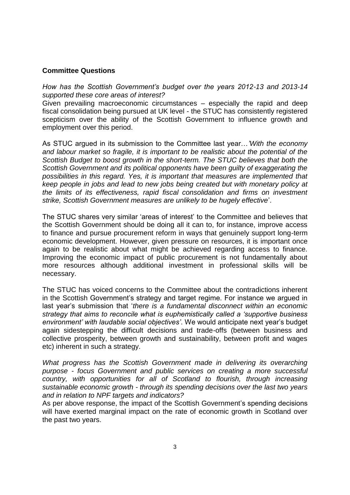# **Committee Questions**

*How has the Scottish Government's budget over the years 2012-13 and 2013-14 supported these core areas of interest?*

Given prevailing macroeconomic circumstances – especially the rapid and deep fiscal consolidation being pursued at UK level - the STUC has consistently registered scepticism over the ability of the Scottish Government to influence growth and employment over this period.

As STUC argued in its submission to the Committee last year…*'With the economy and labour market so fragile, it is important to be realistic about the potential of the Scottish Budget to boost growth in the short-term. The STUC believes that both the Scottish Government and its political opponents have been guilty of exaggerating the possibilities in this regard. Yes, it is important that measures are implemented that keep people in jobs and lead to new jobs being created but with monetary policy at the limits of its effectiveness, rapid fiscal consolidation and firms on investment strike, Scottish Government measures are unlikely to be hugely effective*'.

The STUC shares very similar 'areas of interest' to the Committee and believes that the Scottish Government should be doing all it can to, for instance, improve access to finance and pursue procurement reform in ways that genuinely support long-term economic development. However, given pressure on resources, it is important once again to be realistic about what might be achieved regarding access to finance. Improving the economic impact of public procurement is not fundamentally about more resources although additional investment in professional skills will be necessary.

The STUC has voiced concerns to the Committee about the contradictions inherent in the Scottish Government's strategy and target regime. For instance we argued in last year's submission that '*there is a fundamental disconnect within an economic strategy that aims to reconcile what is euphemistically called a 'supportive business environment' with laudable social objectives'*. We would anticipate next year's budget again sidestepping the difficult decisions and trade-offs (between business and collective prosperity, between growth and sustainability, between profit and wages etc) inherent in such a strategy.

What progress has the Scottish Government made in delivering its overarching *purpose - focus Government and public services on creating a more successful country, with opportunities for all of Scotland to flourish, through increasing sustainable economic growth - through its spending decisions over the last two years and in relation to NPF targets and indicators?* 

As per above response, the impact of the Scottish Government's spending decisions will have exerted marginal impact on the rate of economic growth in Scotland over the past two years.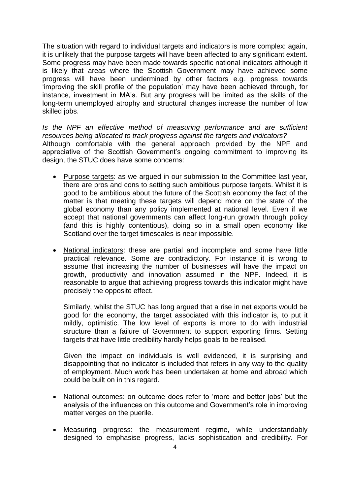The situation with regard to individual targets and indicators is more complex: again, it is unlikely that the purpose targets will have been affected to any significant extent. Some progress may have been made towards specific national indicators although it is likely that areas where the Scottish Government may have achieved some progress will have been undermined by other factors e.g. progress towards 'improving the skill profile of the population' may have been achieved through, for instance, investment in MA's. But any progress will be limited as the skills of the long-term unemployed atrophy and structural changes increase the number of low skilled jobs.

*Is the NPF an effective method of measuring performance and are sufficient resources being allocated to track progress against the targets and indicators?* Although comfortable with the general approach provided by the NPF and appreciative of the Scottish Government's ongoing commitment to improving its design, the STUC does have some concerns:

- Purpose targets: as we argued in our submission to the Committee last year, there are pros and cons to setting such ambitious purpose targets. Whilst it is good to be ambitious about the future of the Scottish economy the fact of the matter is that meeting these targets will depend more on the state of the global economy than any policy implemented at national level. Even if we accept that national governments can affect long-run growth through policy (and this is highly contentious), doing so in a small open economy like Scotland over the target timescales is near impossible.
- National indicators: these are partial and incomplete and some have little practical relevance. Some are contradictory. For instance it is wrong to assume that increasing the number of businesses will have the impact on growth, productivity and innovation assumed in the NPF. Indeed, it is reasonable to argue that achieving progress towards this indicator might have precisely the opposite effect.

Similarly, whilst the STUC has long argued that a rise in net exports would be good for the economy, the target associated with this indicator is, to put it mildly, optimistic. The low level of exports is more to do with industrial structure than a failure of Government to support exporting firms. Setting targets that have little credibility hardly helps goals to be realised.

Given the impact on individuals is well evidenced, it is surprising and disappointing that no indicator is included that refers in any way to the quality of employment. Much work has been undertaken at home and abroad which could be built on in this regard.

- National outcomes: on outcome does refer to 'more and better jobs' but the analysis of the influences on this outcome and Government's role in improving matter verges on the puerile.
- Measuring progress: the measurement regime, while understandably designed to emphasise progress, lacks sophistication and credibility. For